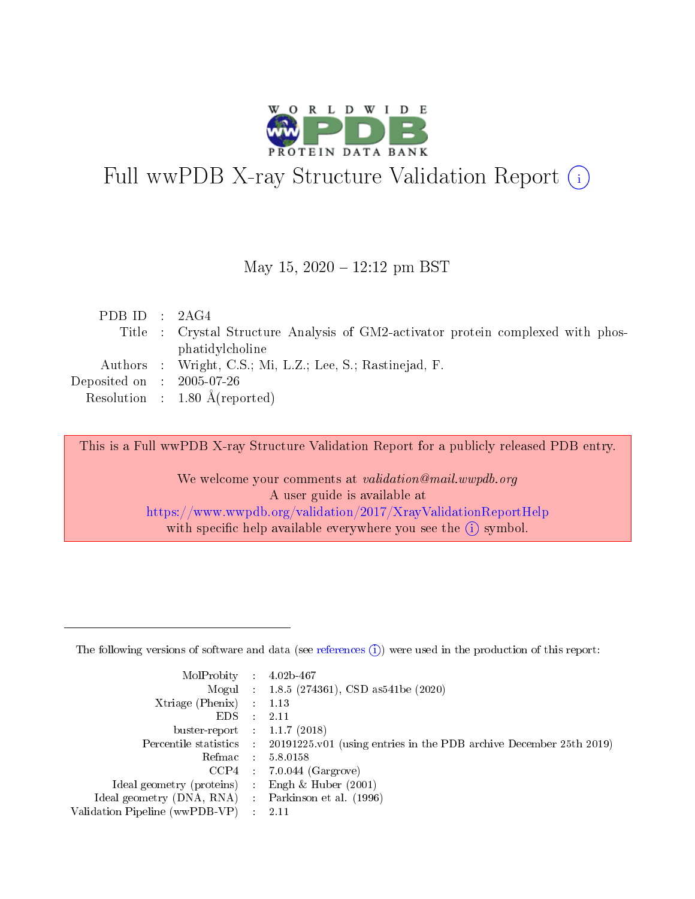

# Full wwPDB X-ray Structure Validation Report (i)

#### May 15,  $2020 - 12:12$  pm BST

| PDBID : 2AG4                                                                     |  |
|----------------------------------------------------------------------------------|--|
| Title : Crystal Structure Analysis of GM2-activator protein complexed with phos- |  |
| phatidylcholine                                                                  |  |
| Authors : Wright, C.S.; Mi, L.Z.; Lee, S.; Rastinejad, F.                        |  |
| Deposited on $\,$ : 2005-07-26 $\,$                                              |  |
| Resolution : $1.80 \text{ Å}$ (reported)                                         |  |

This is a Full wwPDB X-ray Structure Validation Report for a publicly released PDB entry.

We welcome your comments at validation@mail.wwpdb.org A user guide is available at <https://www.wwpdb.org/validation/2017/XrayValidationReportHelp> with specific help available everywhere you see the  $(i)$  symbol.

The following versions of software and data (see [references](https://www.wwpdb.org/validation/2017/XrayValidationReportHelp#references)  $(1)$ ) were used in the production of this report:

| MolProbity                     | $\mathcal{L}_{\rm{max}}$ | $4.02b - 467$                                                                |
|--------------------------------|--------------------------|------------------------------------------------------------------------------|
|                                |                          | Mogul : $1.8.5$ (274361), CSD as 541be (2020)                                |
| $X$ triage (Phenix) :          |                          | 1.13                                                                         |
| EDS.                           |                          | 2.11                                                                         |
| buster-report : $1.1.7$ (2018) |                          |                                                                              |
| Percentile statistics :        |                          | $20191225 \text{ v}01$ (using entries in the PDB archive December 25th 2019) |
| Refmac                         |                          | 5.8.0158                                                                     |
| $CCP4$ :                       |                          | $7.0.044$ (Gargrove)                                                         |
| Ideal geometry (proteins) :    |                          | Engh $\&$ Huber (2001)                                                       |
| Ideal geometry (DNA, RNA) :    |                          | Parkinson et al. (1996)                                                      |
| Validation Pipeline (wwPDB-VP) | $\mathcal{L}$            | -2.11                                                                        |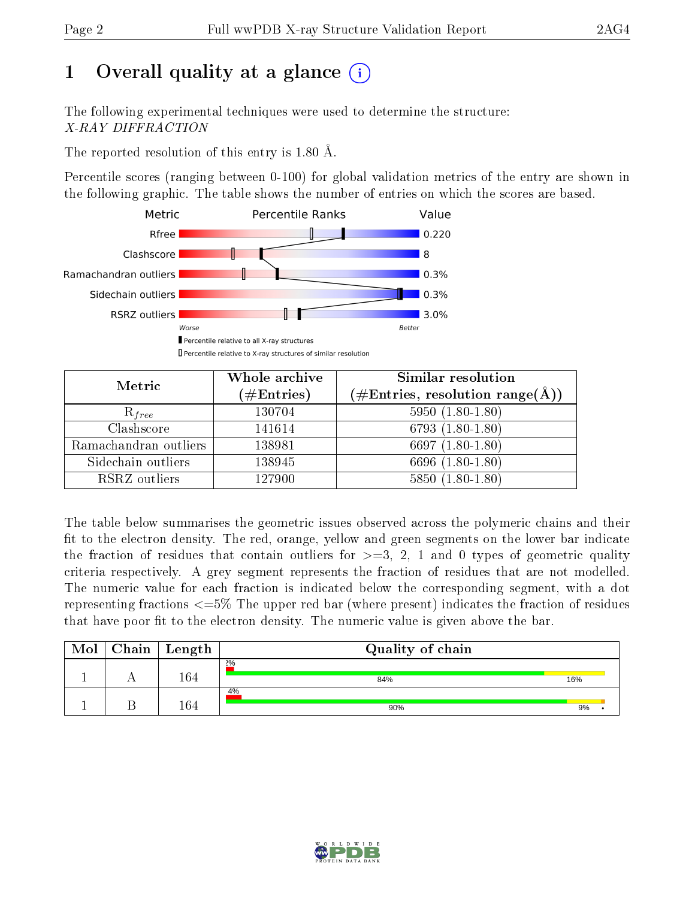# 1 [O](https://www.wwpdb.org/validation/2017/XrayValidationReportHelp#overall_quality)verall quality at a glance  $(i)$

The following experimental techniques were used to determine the structure: X-RAY DIFFRACTION

The reported resolution of this entry is 1.80 Å.

Percentile scores (ranging between 0-100) for global validation metrics of the entry are shown in the following graphic. The table shows the number of entries on which the scores are based.



| Metric                | Whole archive<br>$(\#\text{Entries})$ | <b>Similar resolution</b><br>$(\#\text{Entries}, \text{resolution range}(\textup{\AA}))$ |
|-----------------------|---------------------------------------|------------------------------------------------------------------------------------------|
| $R_{free}$            | 130704                                | $5950(1.80-1.80)$                                                                        |
| Clashscore            | 141614                                | $6793(1.80-1.80)$                                                                        |
| Ramachandran outliers | 138981                                | 6697 $(1.80-1.80)$                                                                       |
| Sidechain outliers    | 138945                                | 6696 (1.80-1.80)                                                                         |
| RSRZ outliers         | 127900                                | $5850(1.80-1.80)$                                                                        |

The table below summarises the geometric issues observed across the polymeric chains and their fit to the electron density. The red, orange, yellow and green segments on the lower bar indicate the fraction of residues that contain outliers for  $>=3, 2, 1$  and 0 types of geometric quality criteria respectively. A grey segment represents the fraction of residues that are not modelled. The numeric value for each fraction is indicated below the corresponding segment, with a dot representing fractions  $\epsilon=5\%$  The upper red bar (where present) indicates the fraction of residues that have poor fit to the electron density. The numeric value is given above the bar.

| Mol | ${\bf Chain \mid Length}$ | Quality of chain |     |  |  |
|-----|---------------------------|------------------|-----|--|--|
|     | 164                       | 2%<br>84%        | 16% |  |  |
|     | 164                       | 4%<br>90%        | 9%  |  |  |

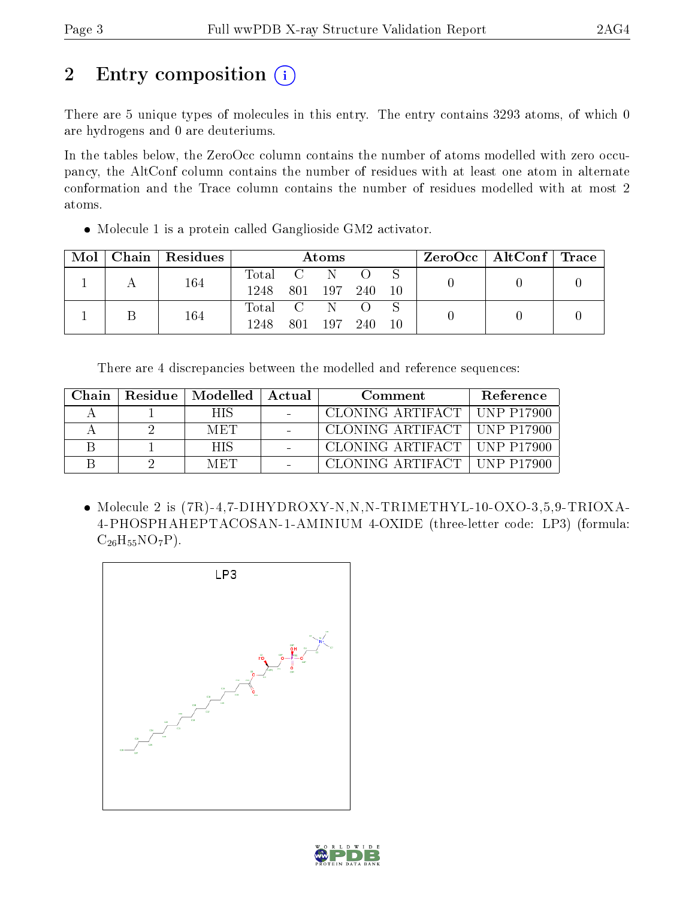# 2 Entry composition (i)

There are 5 unique types of molecules in this entry. The entry contains 3293 atoms, of which 0 are hydrogens and 0 are deuteriums.

In the tables below, the ZeroOcc column contains the number of atoms modelled with zero occupancy, the AltConf column contains the number of residues with at least one atom in alternate conformation and the Trace column contains the number of residues modelled with at most 2 atoms.

Molecule 1 is a protein called Ganglioside GM2 activator.

| Mol | $\mid$ Chain $\mid$ Residues | Atoms     |  |         |       |  |  | $\rm ZeroOcc$   Alt $\rm Conf$   Trace |  |
|-----|------------------------------|-----------|--|---------|-------|--|--|----------------------------------------|--|
|     | 164                          | Total C   |  | N       |       |  |  |                                        |  |
|     |                              | 1248      |  | 801 197 | - 240 |  |  |                                        |  |
|     | 164                          | Total C N |  |         |       |  |  |                                        |  |
|     |                              | 1248      |  | 801 197 | -240- |  |  |                                        |  |

There are 4 discrepancies between the modelled and reference sequences:

| Chain | Residue   Modelled   Actual | Comment |                               | <b>Reference</b> |
|-------|-----------------------------|---------|-------------------------------|------------------|
|       | HIS                         |         | CLONING ARTIFACT   UNP P17900 |                  |
|       | <b>MET</b>                  |         | CLONING ARTIFACT   UNP P17900 |                  |
|       | <b>HIS</b>                  |         | CLONING ARTIFACT   UNP P17900 |                  |
|       | <b>MET</b>                  |         | CLONING ARTIFACT   UNP P17900 |                  |

 Molecule 2 is (7R)-4,7-DIHYDROXY-N,N,N-TRIMETHYL-10-OXO-3,5,9-TRIOXA-4-PHOSPHAHEPTACOSAN-1-AMINIUM 4-OXIDE (three-letter code: LP3) (formula:  $C_{26}H_{55}NO_7P$ ).



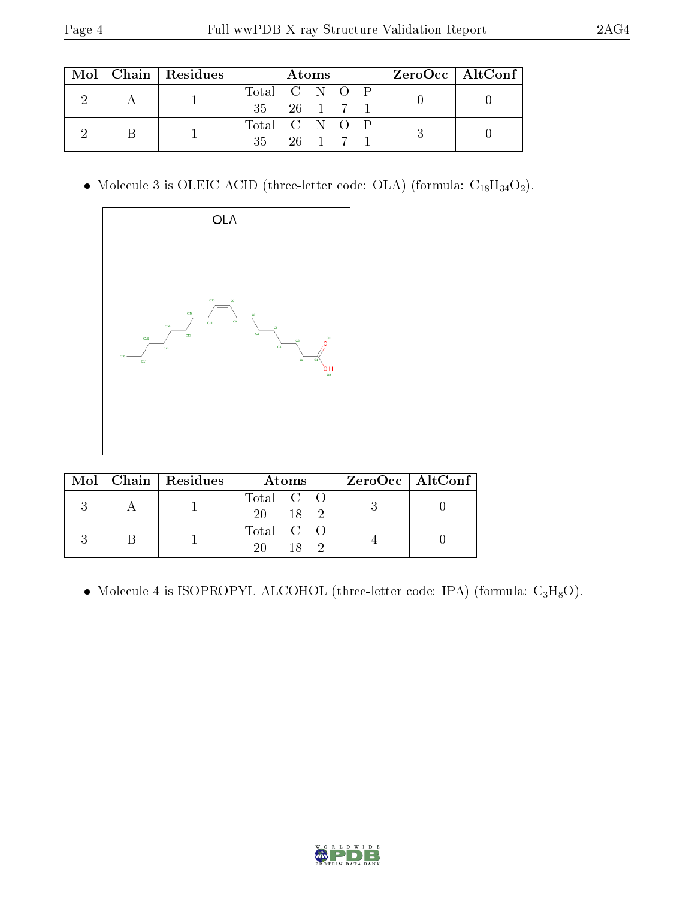|  |  | $Mol$   Chain   Residues | Atoms                     |  |  |  |  | $ZeroOcc \mid AltConf \mid$ |  |
|--|--|--------------------------|---------------------------|--|--|--|--|-----------------------------|--|
|  |  |                          | Total C N O P             |  |  |  |  |                             |  |
|  |  |                          | $35 \t 26 \t 1 \t 7 \t 1$ |  |  |  |  |                             |  |
|  |  |                          | Total C N O P             |  |  |  |  |                             |  |
|  |  | $35$ $26$ 1 7 1          |                           |  |  |  |  |                             |  |

 $\bullet$  Molecule 3 is OLEIC ACID (three-letter code: OLA) (formula:  $\mathrm{C_{18}H_{34}O_{2}}).$ 



|  | $\text{Mol}$   Chain   Residues | Atoms                    | ZeroOcc   AltConf |
|--|---------------------------------|--------------------------|-------------------|
|  |                                 | Total C O<br>$-18$<br>20 |                   |
|  |                                 | Total C O<br>20.         |                   |

• Molecule 4 is ISOPROPYL ALCOHOL (three-letter code: IPA) (formula:  $C_3H_8O$ ).

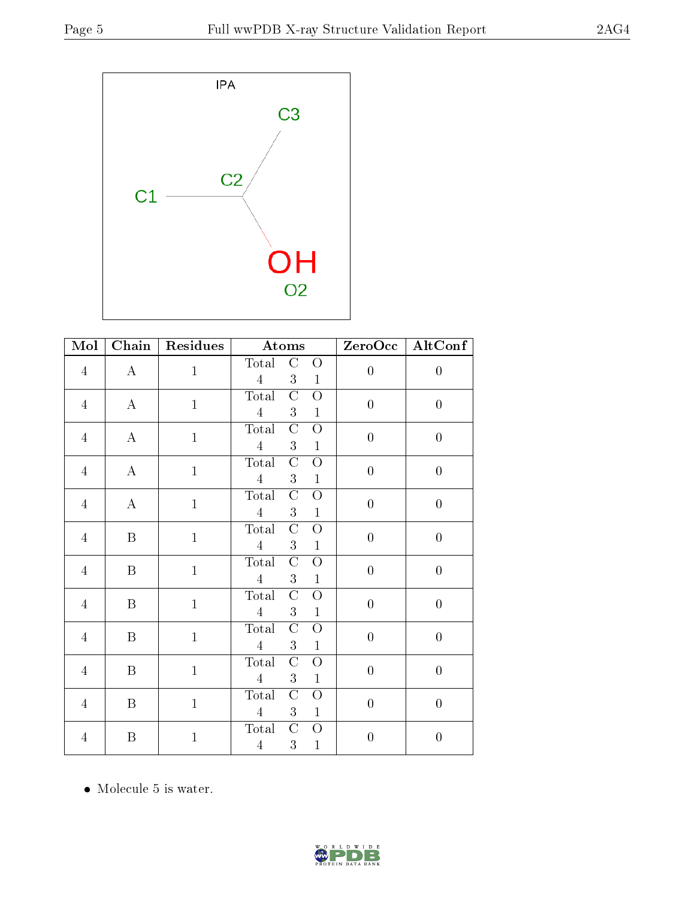

| $\overline{\text{Mol}}$ | Chain            | <b>Residues</b> | Atoms                                                                                | $\overline{\text{ZeroOcc}}$ | AltConf          |
|-------------------------|------------------|-----------------|--------------------------------------------------------------------------------------|-----------------------------|------------------|
| $\overline{4}$          | $\bf{A}$         | $\mathbf 1$     | Total<br>$\mathcal{C}$<br>O<br>$\overline{4}$<br>3<br>$\mathbf{1}$                   | $\overline{0}$              | $\boldsymbol{0}$ |
| $\overline{4}$          | $\bf{A}$         | $\mathbf 1$     | $\overline{\rm C}$<br>Total<br>$\overline{O}$<br>$\overline{4}$<br>3<br>$\mathbf{1}$ | $\overline{0}$              | $\overline{0}$   |
| $\overline{4}$          | $\bf{A}$         | $\mathbf 1$     | $\overline{\rm C}$<br>Total<br>$\overline{O}$<br>$\overline{4}$<br>3<br>$\mathbf{1}$ | $\overline{0}$              | $\boldsymbol{0}$ |
| $\overline{4}$          | $\bf{A}$         | $\mathbf{1}$    | Total<br>$\mathcal{C}$<br>$\overline{O}$<br>$\overline{4}$<br>3<br>$\mathbf{1}$      | $\overline{0}$              | $\overline{0}$   |
| $\overline{4}$          | $\bf{A}$         | $\mathbf 1$     | Total<br>$\rm C$<br>$\overline{O}$<br>$\overline{4}$<br>3<br>$\mathbf{1}$            | $\overline{0}$              | $\overline{0}$   |
| $\overline{4}$          | $\, {\bf B}$     | $\mathbf{1}$    | Total<br>$\mathcal{C}$<br>$\overline{O}$<br>$\overline{4}$<br>3<br>$\mathbf{1}$      | $\overline{0}$              | $\overline{0}$   |
| $\overline{4}$          | $\boldsymbol{B}$ | $\mathbf{1}$    | Total<br>$\rm C$<br>$\overline{O}$<br>$\overline{4}$<br>3<br>$\mathbf{1}$            | $\overline{0}$              | $\boldsymbol{0}$ |
| $\overline{4}$          | $\, {\bf B}$     | $\mathbf{1}$    | Total<br>$\mathcal{C}$<br>$\overline{O}$<br>$\overline{4}$<br>3<br>$\mathbf{1}$      | $\overline{0}$              | $\overline{0}$   |
| $\overline{4}$          | $\boldsymbol{B}$ | $\mathbf{1}$    | $\mathcal{C}$<br>Total<br>O<br>$\overline{4}$<br>3<br>$\mathbf{1}$                   | $\overline{0}$              | $\boldsymbol{0}$ |
| $\overline{4}$          | $\boldsymbol{B}$ | $\mathbf{1}$    | Total<br>$\mathcal{C}$<br>$\overline{O}$<br>$\overline{4}$<br>3<br>$\mathbf{1}$      | $\overline{0}$              | $\overline{0}$   |
| $\overline{4}$          | B                | $\mathbf{1}$    | $\mathcal{C}$<br>Total<br>$\overline{O}$<br>$\overline{4}$<br>3<br>$\mathbf{1}$      | $\overline{0}$              | $\overline{0}$   |
| 4                       | $\boldsymbol{B}$ | $\mathbf{1}$    | $\mathcal{C}$<br>Total<br>O<br>$\sqrt{4}$<br>3<br>$\mathbf{1}$                       | $\boldsymbol{0}$            | $\boldsymbol{0}$ |

• Molecule 5 is water.

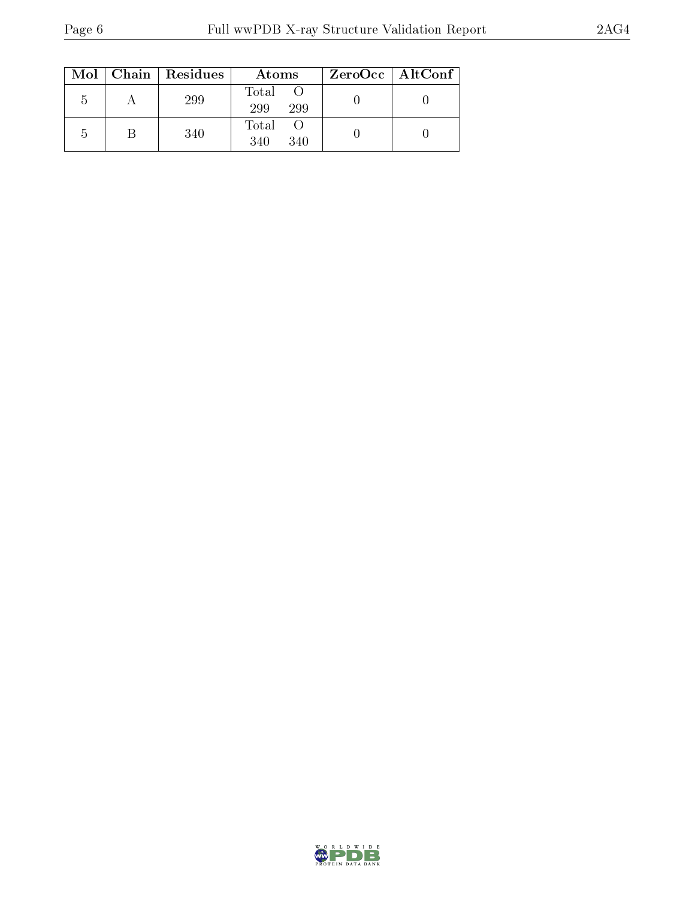| Mol | Chain   Residues | Atoms               | ZeroOcc   AltConf |
|-----|------------------|---------------------|-------------------|
| b   | 299              | Total<br>299<br>299 |                   |
| b   | 340              | Total<br>340<br>340 |                   |

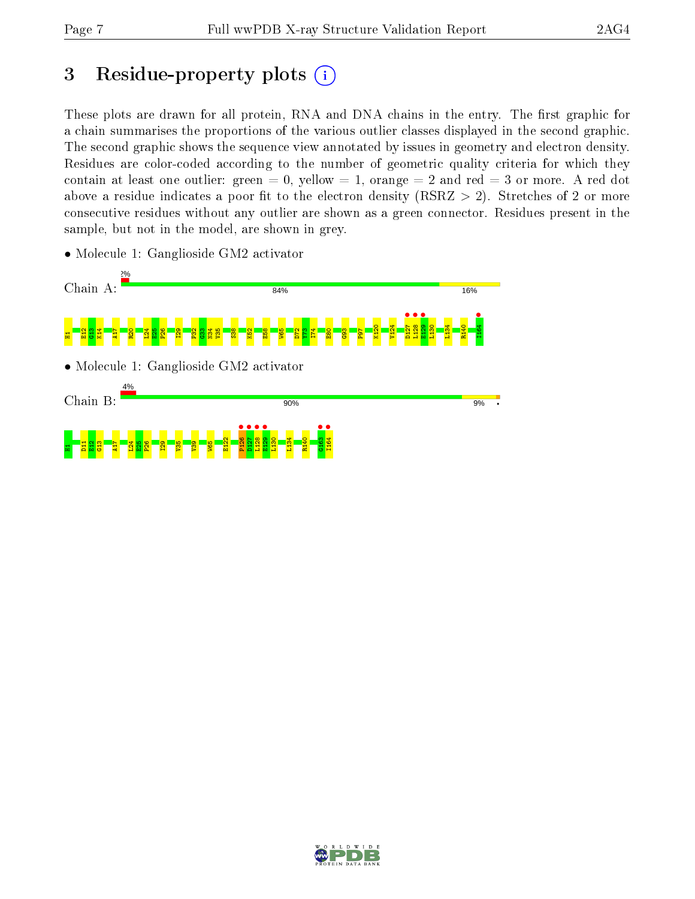# 3 Residue-property plots  $(i)$

These plots are drawn for all protein, RNA and DNA chains in the entry. The first graphic for a chain summarises the proportions of the various outlier classes displayed in the second graphic. The second graphic shows the sequence view annotated by issues in geometry and electron density. Residues are color-coded according to the number of geometric quality criteria for which they contain at least one outlier: green  $= 0$ , yellow  $= 1$ , orange  $= 2$  and red  $= 3$  or more. A red dot above a residue indicates a poor fit to the electron density (RSRZ  $> 2$ ). Stretches of 2 or more consecutive residues without any outlier are shown as a green connector. Residues present in the sample, but not in the model, are shown in grey.



• Molecule 1: Ganglioside GM2 activator

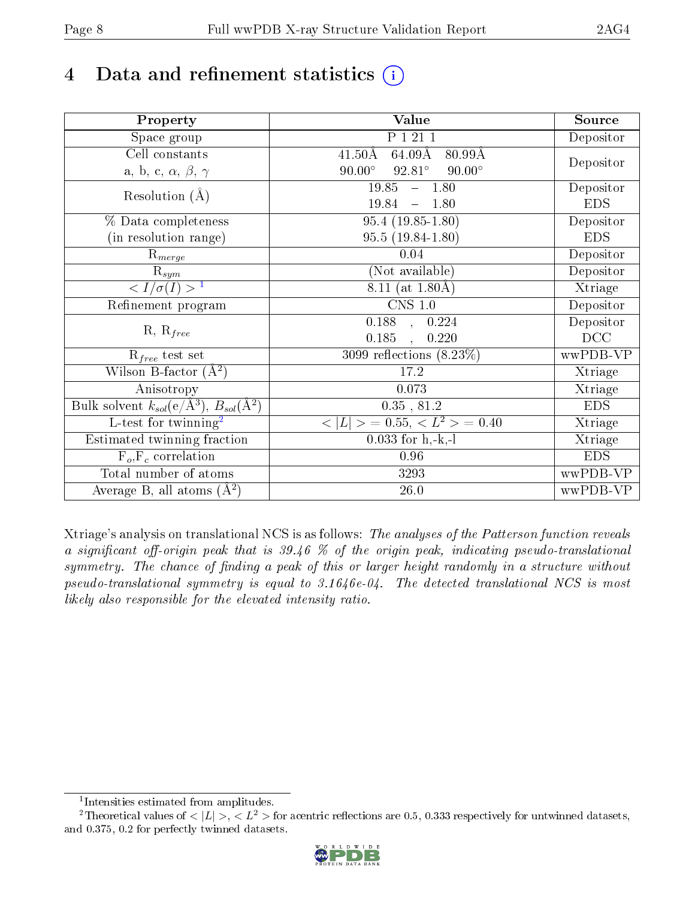# 4 Data and refinement statistics  $(i)$

| Property                                                             | Value                                                       | Source     |
|----------------------------------------------------------------------|-------------------------------------------------------------|------------|
| Space group                                                          | P 1 21 1                                                    | Depositor  |
| Cell constants                                                       | $41.50\text{\AA}$<br>$64.09\text{\AA}$<br>$80.99\text{\AA}$ |            |
| a, b, c, $\alpha$ , $\beta$ , $\gamma$                               | $90.00^\circ$<br>$92.81^\circ$<br>$90.00^\circ$             | Depositor  |
| Resolution $(A)$                                                     | 19.85<br>$-1.80$                                            | Depositor  |
|                                                                      | 19.84<br>$-1.80$                                            | <b>EDS</b> |
| % Data completeness                                                  | $95.4(19.85-1.80)$                                          | Depositor  |
| (in resolution range)                                                | $95.5(19.84-1.80)$                                          | <b>EDS</b> |
| $R_{merge}$                                                          | 0.04                                                        | Depositor  |
| $\mathrm{R}_{sym}$                                                   | (Not available)                                             | Depositor  |
| $\sqrt{I/\sigma}(I) > 1$                                             | 8.11 (at $1.80\text{\AA})$                                  | Xtriage    |
| Refinement program                                                   | $CNS$ 1.0                                                   | Depositor  |
|                                                                      | $\overline{0.188}$ ,<br>0.224                               | Depositor  |
| $R, R_{free}$                                                        | 0.185<br>0.220                                              | DCC        |
| $R_{free}$ test set                                                  | 3099 reflections $(8.23\%)$                                 | wwPDB-VP   |
| Wilson B-factor $(A^2)$                                              | 17.2                                                        | Xtriage    |
| Anisotropy                                                           | 0.073                                                       | Xtriage    |
| Bulk solvent $k_{sol}(e/\mathring{A}^3)$ , $B_{sol}(\mathring{A}^2)$ | $0.35\,$ , $81.2\,$                                         | <b>EDS</b> |
| L-test for twinning <sup>2</sup>                                     | $< L >$ = 0.55, $< L2$ = 0.40                               | Xtriage    |
| Estimated twinning fraction                                          | $0.033$ for h,-k,-l                                         | Xtriage    |
| $F_o, F_c$ correlation                                               | 0.96                                                        | <b>EDS</b> |
| Total number of atoms                                                | 3293                                                        | wwPDB-VP   |
| Average B, all atoms $(A^2)$                                         | $26.0\,$                                                    | wwPDB-VP   |

Xtriage's analysis on translational NCS is as follows: The analyses of the Patterson function reveals a significant off-origin peak that is 39.46 % of the origin peak, indicating pseudo-translational symmetry. The chance of finding a peak of this or larger height randomly in a structure without pseudo-translational symmetry is equal to 3.1646e-04. The detected translational NCS is most likely also responsible for the elevated intensity ratio.

<sup>&</sup>lt;sup>2</sup>Theoretical values of  $\langle |L| \rangle$ ,  $\langle L^2 \rangle$  for acentric reflections are 0.5, 0.333 respectively for untwinned datasets, and 0.375, 0.2 for perfectly twinned datasets.



<span id="page-7-1"></span><span id="page-7-0"></span><sup>1</sup> Intensities estimated from amplitudes.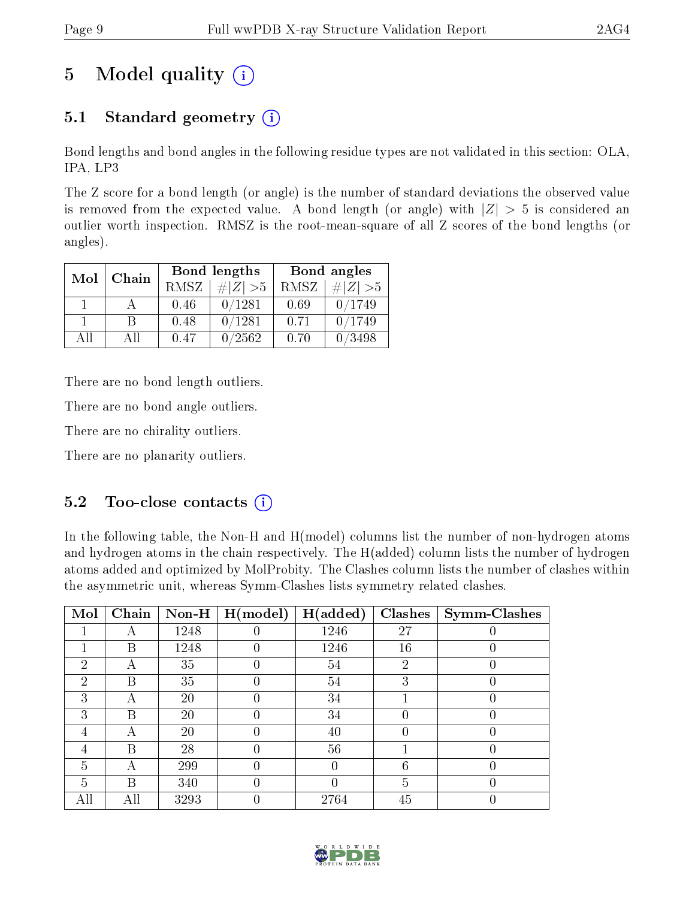# 5 Model quality  $(i)$

# 5.1 Standard geometry  $(i)$

Bond lengths and bond angles in the following residue types are not validated in this section: OLA, IPA, LP3

The Z score for a bond length (or angle) is the number of standard deviations the observed value is removed from the expected value. A bond length (or angle) with  $|Z| > 5$  is considered an outlier worth inspection. RMSZ is the root-mean-square of all Z scores of the bond lengths (or angles).

| Mol | Chain |      | <b>Bond lengths</b> | Bond angles |             |  |
|-----|-------|------|---------------------|-------------|-------------|--|
|     |       | RMSZ | $\# Z  > 5$         | RMSZ        | $\# Z  > 5$ |  |
|     |       | 0.46 | 0/1281              | 0.69        | 0/1749      |  |
|     | R     | 0.48 | 0/1281              | 0.71        | 0/1749      |  |
| ΑĦ  | A II  | 0.47 | 0/2562              | 0.70        | /3498       |  |

There are no bond length outliers.

There are no bond angle outliers.

There are no chirality outliers.

There are no planarity outliers.

### $5.2$  Too-close contacts  $\binom{1}{1}$

In the following table, the Non-H and H(model) columns list the number of non-hydrogen atoms and hydrogen atoms in the chain respectively. The H(added) column lists the number of hydrogen atoms added and optimized by MolProbity. The Clashes column lists the number of clashes within the asymmetric unit, whereas Symm-Clashes lists symmetry related clashes.

| Mol           | Chain | $\bf Non-H$ | H (model) | H(added) | <b>Clashes</b> | Symm-Clashes |
|---------------|-------|-------------|-----------|----------|----------------|--------------|
|               |       | 1248        |           | 1246     | 27             |              |
|               | В     | 1248        |           | 1246     | 16             |              |
| 2             | А     | 35          |           | 54       | $\overline{2}$ |              |
| $\mathcal{D}$ | В     | 35          |           | 54       | 3              |              |
| 3             |       | 20          |           | 34       |                |              |
| 3             | В     | 20          |           | 34       |                |              |
| 4             | А     | 20          |           | 40       |                |              |
| 4             | В     | 28          |           | 56       |                |              |
| 5             |       | 299         |           | O        | 6              |              |
| 5             | В     | 340         | 0         | 0        | 5              |              |
|               | All   | 3293        |           | 2764     | 45             |              |

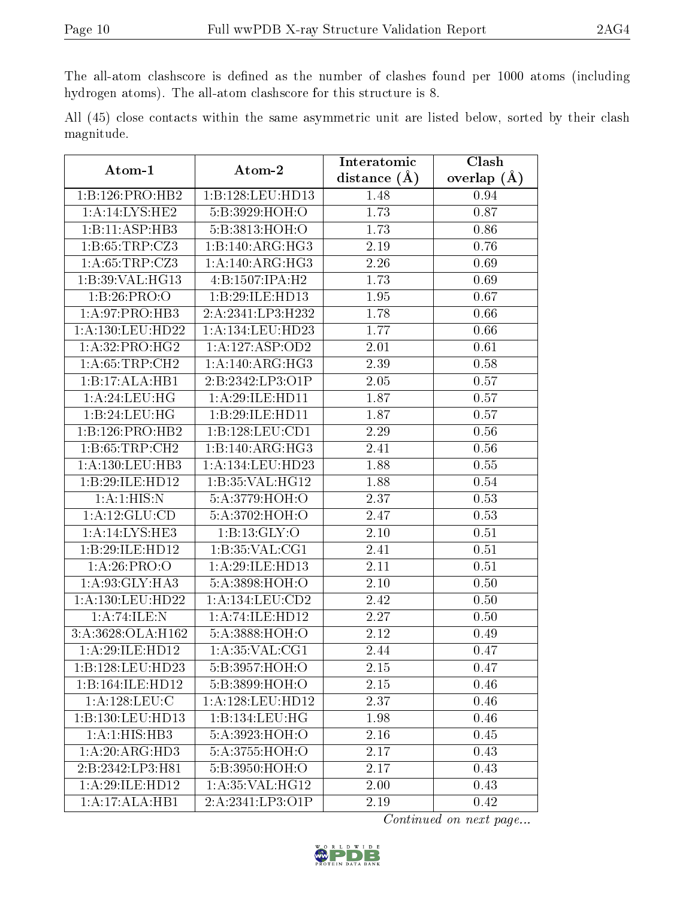The all-atom clashscore is defined as the number of clashes found per 1000 atoms (including hydrogen atoms). The all-atom clashscore for this structure is 8.

All (45) close contacts within the same asymmetric unit are listed below, sorted by their clash magnitude.

| Atom-1                             | Atom-2               | Interatomic       | Clash         |
|------------------------------------|----------------------|-------------------|---------------|
|                                    |                      | distance $(A)$    | overlap $(A)$ |
| 1:B:126:PRO:HB2                    | 1:B:128:LEU:HD13     | 1.48              | 0.94          |
| 1:A:14:LYS:HE2                     | 5:B:3929:HOH:O       | 1.73              | 0.87          |
| 1:B:11:ASP:HB3                     | 5:B:3813:HOH:O       | 1.73              | 0.86          |
| 1:B:65:TRP:CZ3                     | 1:B:140:ARG:HG3      | 2.19              | 0.76          |
| 1:A:65:TRP:CZ3                     | 1: A:140:ARG:HG3     | 2.26              | 0.69          |
| 1:B:39:VAL:HG13                    | 4:B:1507:IPA:H2      | 1.73              | 0.69          |
| 1:B:26:PRO:O                       | 1:B:29:ILE:HD13      | 1.95              | 0.67          |
| $1:A:97:PRO:\overline{HB3}$        | 2:A:2341:LP3:H232    | 1.78              | 0.66          |
| 1:A:130:LEU:HD22                   | 1:A:134:LEU:HD23     | 1.77              | 0.66          |
| 1:A:32:PRO:HG2                     | 1:A:127:ASP:OD2      | 2.01              | 0.61          |
| 1: A:65:TRP:CH2                    | 1: A:140: ARG:HG3    | 2.39              | 0.58          |
| 1:B:17:ALA:HB1                     | 2:B:2342:LP3:O1P     | 2.05              | 0.57          |
| 1:A:24:LEU:HG                      | 1:A:29:ILE:HD11      | 1.87              | 0.57          |
| 1:B:24:LEU:HG                      | 1:B:29:ILE:HD11      | 1.87              | 0.57          |
| 1:B:126:PRO:HB2                    | 1:B:128:LEU:CD1      | 2.29              | 0.56          |
| 1: B: 65: TRP: CH2                 | 1:B:140:ARG:HG3      | 2.41              | 0.56          |
| 1: A: 130: LEU: HB3                | 1: A: 134: LEU: HD23 | 1.88              | 0.55          |
| 1:B:29:ILE:HD12                    | 1:B:35:VAL:HG12      | 1.88              | 0.54          |
| 1: A:1: HIS:N                      | 5:A:3779:HOH:O       | 2.37              | 0.53          |
| 1:A:12:GLU:CD                      | 5:A:3702:HOH:O       | 2.47              | 0.53          |
| 1:A:14:LYS:HE3                     | 1:B:13:GLY:O         | 2.10              | 0.51          |
| 1:B:29:ILE:HD12                    | 1: B:35: VAL:CG1     | 2.41              | 0.51          |
| 1: A:26: PRO:O                     | 1:A:29:ILE:HD13      | 2.11              | 0.51          |
| 1: A:93: GLY: HA3                  | 5:A:3898:HOH:O       | 2.10              | 0.50          |
| 1:A:130:LEU:HD22                   | 1:A:134:LEU:CD2      | 2.42              | 0.50          |
| 1:A:74:ILE:N                       | 1:A:74:ILE:HD12      | 2.27              | 0.50          |
| 3:A:3628:OLA:H162                  | 5:A:3888:HOH:O       | 2.12              | 0.49          |
| 1:A:29:ILE:HD12                    | 1: A:35: VAL:CG1     | 2.44              | 0.47          |
| 1:B:128:LEU:HD23                   | 5:B:3957:HOH:O       | $\overline{2.15}$ | 0.47          |
| 1:B:164:ILE:HD12                   | 5:B:3899:HOH:O       | 2.15              | 0.46          |
| 1: A: 128: LEU: C                  | 1: A: 128: LEU: HD12 | 2.37              | 0.46          |
| 1:B:130:LEU:HD13                   | 1:B:134:LEU:HG       | 1.98              | 0.46          |
| 1:A:1:HIS:HB3                      | 5:A:3923:HOH:O       | $2.16\,$          | 0.45          |
| $1:A:20:A\overline{\text{RG:HD3}}$ | 5:A:3755:HOH:O       | 2.17              | 0.43          |
| 2:B:2342:LP3:H81                   | 5:B:3950:HOH:O       | 2.17              | 0.43          |
| 1:A:29:ILE:HD12                    | 1: A:35: VAL:HG12    | 2.00              | 0.43          |
| 1:A:17:ALA:HB1                     | 2:A:2341:LP3:O1P     | 2.19              | 0.42          |

Continued on next page...

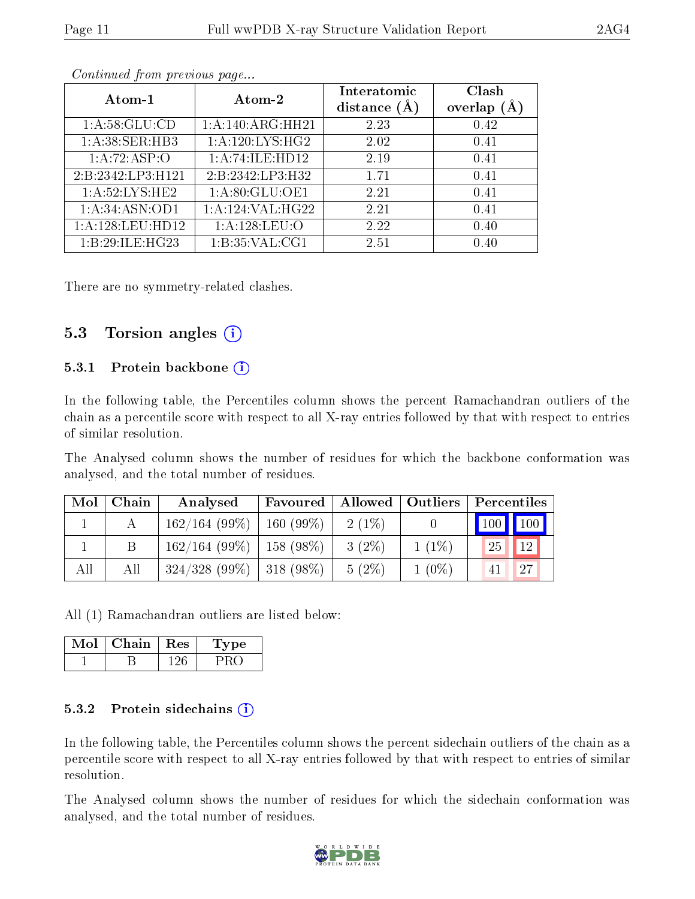| Atom-1            | Atom-2            | Interatomic    | Clash         |
|-------------------|-------------------|----------------|---------------|
|                   |                   | distance $(A)$ | overlap $(A)$ |
| 1: A:58: GLU:CD   | 1: A:140:ARG:HH21 | 2.23           | 0.42          |
| 1:A:38:SER:HB3    | 1:A:120:LYS:HG2   | 2.02           | 0.41          |
| 1:A:72:ASP:O      | 1:A:74:ILE:HD12   | 2.19           | 0.41          |
| 2:B:2342:LP3:H121 | 2:B:2342:LP3:H32  | 1.71           | 0.41          |
| 1: A:52:LYS:HE2   | 1:A:80:GLU:OE1    | 2.21           | 0.41          |
| 1: A:34: ASN:OD1  | 1:A:124:VAL:HG22  | 2.21           | 0.41          |
| 1:A:128:LEU:HD12  | 1: A: 128: LEU: O | 2.22           | 0.40          |
| 1:B:29:ILE:HG23   | 1: B:35: VAL:CG1  | 2.51           | 0.40          |

Continued from previous page...

There are no symmetry-related clashes.

#### 5.3 Torsion angles  $(i)$

#### 5.3.1 Protein backbone (i)

In the following table, the Percentiles column shows the percent Ramachandran outliers of the chain as a percentile score with respect to all X-ray entries followed by that with respect to entries of similar resolution.

The Analysed column shows the number of residues for which the backbone conformation was analysed, and the total number of residues.

| Mol | Chain | Analysed                      | Favoured    |          | Allowed   Outliers | $\mid$ Percentiles           |     |
|-----|-------|-------------------------------|-------------|----------|--------------------|------------------------------|-----|
|     |       | 162/164(99%)                  | $160(99\%)$ | $2(1\%)$ |                    | $\mid$ 100 $\mid$ 100 $\mid$ |     |
|     |       | $162/164$ (99\%)   158 (98\%) |             | $3(2\%)$ | $1(1\%)$           | 25                           | 12  |
| All | All   | $324/328$ (99\%)   318 (98\%) |             | $5(2\%)$ | $1(0\%)$           |                              | 127 |

All (1) Ramachandran outliers are listed below:

| Mol | Chain | $\parallel$ Res | vpe |
|-----|-------|-----------------|-----|
|     |       |                 |     |

#### 5.3.2 Protein sidechains  $(i)$

In the following table, the Percentiles column shows the percent sidechain outliers of the chain as a percentile score with respect to all X-ray entries followed by that with respect to entries of similar resolution.

The Analysed column shows the number of residues for which the sidechain conformation was analysed, and the total number of residues.

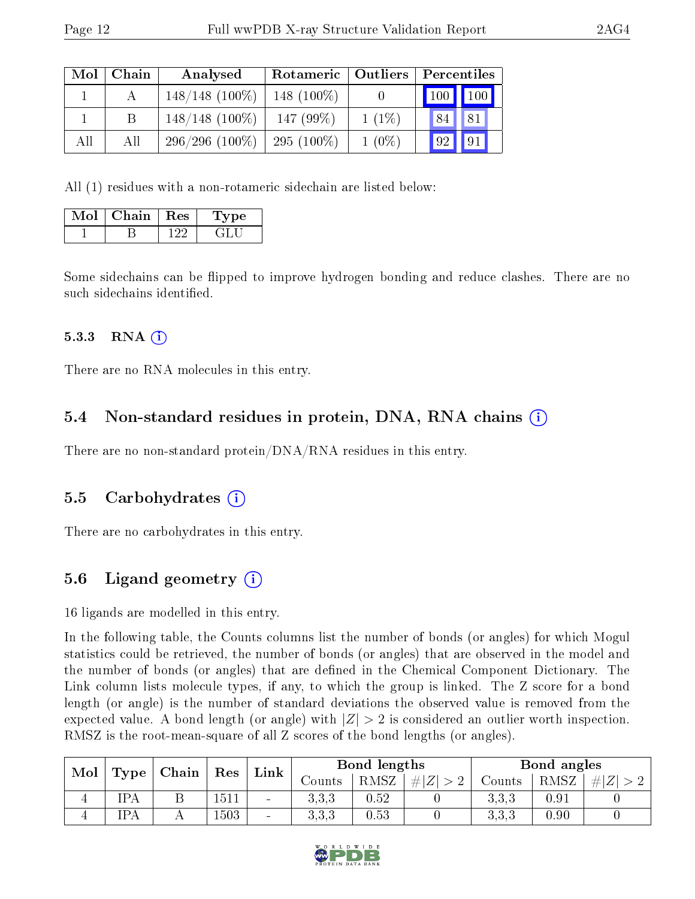| Mol | Chain | Analysed          | Rotameric   Outliers |          | Percentiles                     |              |
|-----|-------|-------------------|----------------------|----------|---------------------------------|--------------|
|     |       | $148/148$ (100\%) | 148 $(100\%)$        |          | $\vert$ 100 $\vert$ 100 $\vert$ |              |
|     |       | $148/148$ (100\%) | 147 (99%)            | $1(1\%)$ | 84                              | ,81          |
| All | All   | $296/296(100\%)$  | 295 $(100\%)$        | $1(0\%)$ | $\frac{1}{2}$                   | $\sqrt{191}$ |

All (1) residues with a non-rotameric sidechain are listed below:

| Mol | Chain   Res | 'Type |
|-----|-------------|-------|
|     |             |       |

Some sidechains can be flipped to improve hydrogen bonding and reduce clashes. There are no such sidechains identified.

#### 5.3.3 RNA (1)

There are no RNA molecules in this entry.

### 5.4 Non-standard residues in protein, DNA, RNA chains (i)

There are no non-standard protein/DNA/RNA residues in this entry.

### 5.5 Carbohydrates (i)

There are no carbohydrates in this entry.

# 5.6 Ligand geometry (i)

16 ligands are modelled in this entry.

In the following table, the Counts columns list the number of bonds (or angles) for which Mogul statistics could be retrieved, the number of bonds (or angles) that are observed in the model and the number of bonds (or angles) that are dened in the Chemical Component Dictionary. The Link column lists molecule types, if any, to which the group is linked. The Z score for a bond length (or angle) is the number of standard deviations the observed value is removed from the expected value. A bond length (or angle) with  $|Z| > 2$  is considered an outlier worth inspection. RMSZ is the root-mean-square of all Z scores of the bond lengths (or angles).

| Mol | Type       |       | Res  | Link                     | Bond lengths |          |         | Bond angles |          |    |
|-----|------------|-------|------|--------------------------|--------------|----------|---------|-------------|----------|----|
|     |            | Chain |      |                          | Counts       | RMSZ     | $\# Z $ | Counts      | RMSZ     | #1 |
| 4   | <b>IPA</b> |       | 51   | $\overline{\phantom{a}}$ | 3.3.3        | $0.52\,$ |         | 3,3,3       | 0.91     |    |
| 4   | <b>IPA</b> |       | .503 | $\qquad \qquad$          | 333<br>⊍,⊍,⊍ | 0.53     |         | 3,3,3       | $0.90\,$ |    |

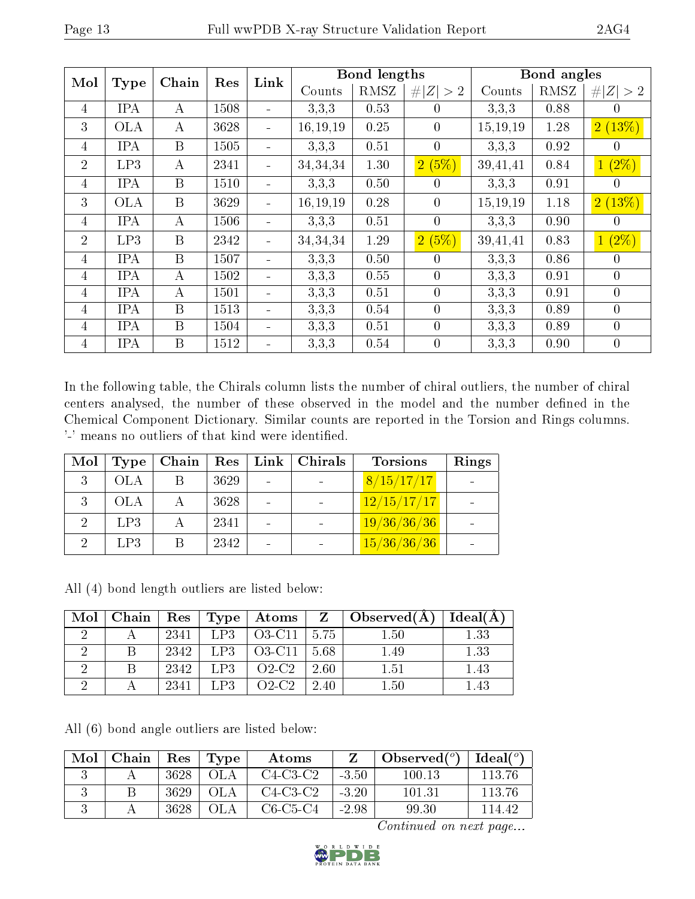| Mol            | <b>Type</b> | Chain            | Res  | Link                     |            | <b>Bond lengths</b> |                |          | Bond angles |                  |
|----------------|-------------|------------------|------|--------------------------|------------|---------------------|----------------|----------|-------------|------------------|
|                |             |                  |      |                          | Counts     | RMSZ                | # $ Z  > 2$    | Counts   | RMSZ        | #<br> Z >2       |
| $\overline{4}$ | <b>IPA</b>  | А                | 1508 |                          | 3,3,3      | 0.53                | $\theta$       | 3,3,3    | 0.88        | 0                |
| 3              | <b>OLA</b>  | $\boldsymbol{A}$ | 3628 | $\blacksquare$           | 16, 19, 19 | 0.25                | $\overline{0}$ | 15,19,19 | 1.28        | 2(13%)           |
| 4              | <b>IPA</b>  | B                | 1505 |                          | 3,3,3      | 0.51                | $\theta$       | 3,3,3    | 0.92        | $\theta$         |
| $\overline{2}$ | LP3         | $\boldsymbol{A}$ | 2341 |                          | 34, 34, 34 | 1.30                | 2(5%)          | 39,41,41 | 0.84        | $1(2\%)$         |
| $\overline{4}$ | <b>IPA</b>  | B                | 1510 |                          | 3,3,3      | 0.50                | $\theta$       | 3,3,3    | 0.91        | $\theta$         |
| 3              | <b>OLA</b>  | B                | 3629 |                          | 16, 19, 19 | 0.28                | $\overline{0}$ | 15,19,19 | 1.18        | 2(13%)           |
| $\overline{4}$ | <b>IPA</b>  | А                | 1506 | $\overline{\phantom{a}}$ | 3,3,3      | 0.51                | $\theta$       | 3,3,3    | 0.90        | $\overline{0}$   |
| $\overline{2}$ | LP3         | B                | 2342 | ÷                        | 34,34,34   | 1.29                | 2(5%)          | 39,41,41 | 0.83        | $1(2\%)$         |
| $\overline{4}$ | <b>IPA</b>  | $\mathbf{B}$     | 1507 |                          | 3,3,3      | 0.50                | $\theta$       | 3.3.3    | 0.86        | $\theta$         |
| $\overline{4}$ | <b>IPA</b>  | А                | 1502 | $\overline{\phantom{a}}$ | 3,3,3      | $0.55\,$            | $\overline{0}$ | 3,3,3    | 0.91        | $\overline{0}$   |
| $\overline{4}$ | <b>IPA</b>  | $\bf{A}$         | 1501 |                          | 3,3,3      | 0.51                | $\theta$       | 3,3,3    | 0.91        | $\overline{0}$   |
| $\overline{4}$ | <b>IPA</b>  | B                | 1513 |                          | 3,3,3      | 0.54                | $\overline{0}$ | 3.3.3    | 0.89        | $\overline{0}$   |
| $\overline{4}$ | <b>IPA</b>  | B                | 1504 | $\overline{\phantom{a}}$ | 3,3,3      | 0.51                | $\overline{0}$ | 3,3,3    | 0.89        | $\boldsymbol{0}$ |
| 4              | <b>IPA</b>  | B                | 1512 |                          | 3,3,3      | 0.54                | $\overline{0}$ | 3,3,3    | 0.90        | $\overline{0}$   |

In the following table, the Chirals column lists the number of chiral outliers, the number of chiral centers analysed, the number of these observed in the model and the number defined in the Chemical Component Dictionary. Similar counts are reported in the Torsion and Rings columns. '-' means no outliers of that kind were identified.

| Mol         | Type       | Chain |      | Res   Link   Chirals | <b>Torsions</b> | Rings |
|-------------|------------|-------|------|----------------------|-----------------|-------|
| 3           | <b>OLA</b> |       | 3629 |                      | 8/15/17/17      |       |
|             | OLA        |       | 3628 |                      | 12/15/17/17     |       |
| $2^{\circ}$ | LP3        |       | 2341 |                      | 19/36/36/36     |       |
|             | LP3        |       | 2342 |                      | 15/36/36/36     |       |

All (4) bond length outliers are listed below:

| Mol | ⊢Chain |      |      | Res   Type   Atoms |         | $\mathbf{Z} \parallel \mathbf{Observed}(\mathbf{A})$ | Ideal(A) |
|-----|--------|------|------|--------------------|---------|------------------------------------------------------|----------|
|     |        | 2341 |      | $LP3 \mid 03-C11$  | $-5.75$ | 1.50                                                 | 1.33     |
|     |        | 2342 | LP3  | $O3-C11$           | 5.68    | 1.49                                                 | 1.33     |
|     |        | 2342 | LP3  | $O2-C2$            | 2.60    | 1.51                                                 | 1.43     |
|     |        | 2341 | LP3. | $O2-C2$            | 2.40    | $1.50\,$                                             | $1.43\,$ |

All (6) bond angle outliers are listed below:

| Mol | Chain | $\operatorname{Res}$ | Type | Atoms      |         | Observed $(°)$ | Ideal(°) |
|-----|-------|----------------------|------|------------|---------|----------------|----------|
|     |       | 3628                 |      | $C4-C3-C2$ | $-3.50$ | 100.13         | 113.76   |
|     |       | 3629                 |      | $C4-C3-C2$ | $-3.20$ | 101.31         | 113 76   |
|     |       | 3628                 |      | $C6-C5-C4$ | $-2.98$ | 99.30          | 114 42   |

Continued on next page...

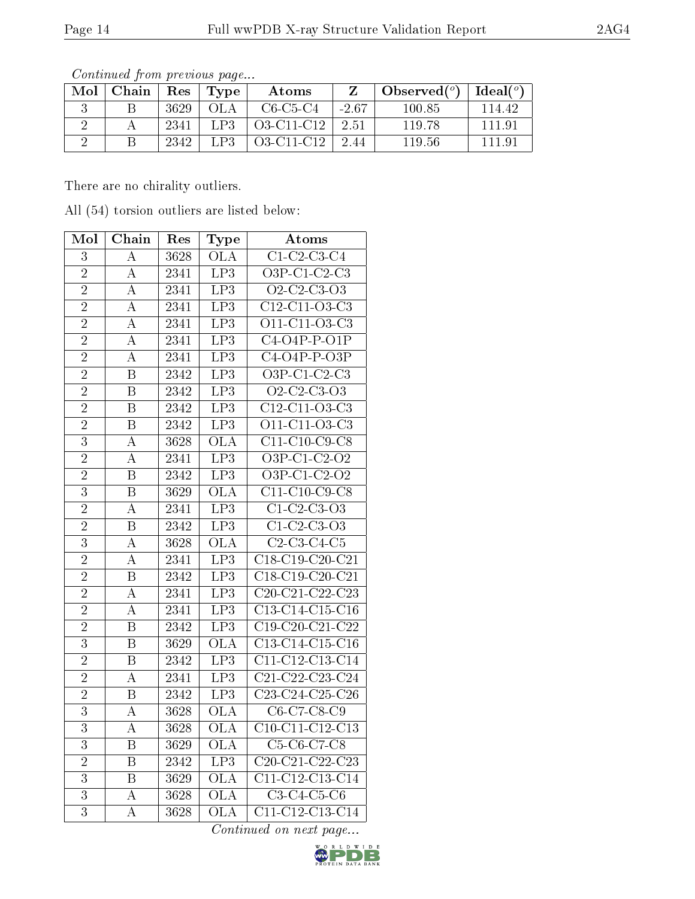| Mol | Chain   Res |      | Type | Atoms      |         | Observed $(°)$ | Ideal $(^\circ)$ |
|-----|-------------|------|------|------------|---------|----------------|------------------|
|     |             | 3629 | OL A | $C6-C5-C4$ | $-2.67$ | 100.85         | 114.42           |
|     |             | 2341 | LPS  | O3-C11-C12 | 2.51    | 119.78         | 11191            |
|     |             | 2342 | LP3. | O3-C11-C12 | 244     | 119.56         | 1119             |

Continued from previous page...

There are no chirality outliers.

All (54) torsion outliers are listed below:

| Mol            | Chain                   | Res               | Type                    | Atoms                                                 |
|----------------|-------------------------|-------------------|-------------------------|-------------------------------------------------------|
| 3              | А                       | 3628              | <b>OLA</b>              | $C1-C2-C3-C4$                                         |
| $\overline{2}$ | А                       | $\overline{23}41$ | $\overline{LP3}$        | $O3P-C1-C2-C3$                                        |
| $\overline{2}$ | А                       | 2341              | LP3                     | $Q2-C2-C3-o3$                                         |
| $\overline{2}$ | A                       | 2341              | $\overline{LP3}$        | $C12-C11-O3-C3$                                       |
| $\overline{2}$ | А                       | 2341              | LP3                     | $\overline{O11 \text{-} C11 \text{-} O3 \text{-} C3}$ |
| $\overline{2}$ | A                       | 2341              | LP3                     | $C4-O4P-P-O1P$                                        |
| $\overline{2}$ | А                       | 2341              | LP3                     | $C4-O4P-P-O3P$                                        |
| $\overline{2}$ | B                       | 2342              | LP3                     | $\overline{O3P-C1-C2-C3}$                             |
| $\overline{2}$ | $\overline{\mathrm{B}}$ | $\overline{2342}$ | $\overline{LP3}$        | $Q2-C2-C3-o3$                                         |
| $\overline{2}$ | $\overline{B}$          | 2342              | $\overline{LP3}$        | $C12-C11-03-C3$                                       |
| $\overline{2}$ | $\overline{B}$          | 2342              | $\overline{LP3}$        | O11-C11-O3-C3                                         |
| $\overline{3}$ | A                       | 3628              | $\overline{\text{OLA}}$ | $C11-C10-C9-C8$                                       |
| $\overline{2}$ | А                       | 2341              | LP3                     | $\overline{O3P-C1-C2-O2}$                             |
| $\overline{2}$ | B                       | $\overline{2342}$ | LP3                     | $O3P-C1-C2-O2$                                        |
| $\overline{3}$ | $\overline{B}$          | 3629              | <b>OLA</b>              | $C11-C10-C9-C8$                                       |
| $\overline{2}$ | А                       | $\overline{2}341$ | $\overline{LP3}$        | $C1-C2-C3-o3$                                         |
| $\overline{2}$ | $\overline{\mathbf{B}}$ | 2342              | LP3                     | $C1-C2-C3-o3$                                         |
| $\overline{3}$ | $\boldsymbol{A}$        | 3628              | $\overline{\text{OLA}}$ | $C2-C3-C4-C5$                                         |
| $\overline{2}$ | A                       | 2341              | LP3                     | $C18-C19-C20-C21$                                     |
| $\overline{2}$ | $\boldsymbol{B}$        | 2342              | LP3                     | C18-C19-C20-C21                                       |
| $\overline{2}$ | А                       | 2341              | $\overline{LP3}$        | $C20-C21-C22-C23$                                     |
| $\overline{2}$ | А                       | 2341              | LP3                     | C13-C14-C15-C16                                       |
| $\overline{2}$ | B                       | 2342              | LP3                     | $C19-C20-C21-C22$                                     |
| $\overline{3}$ | B                       | 3629              | $\overline{\text{OLA}}$ | $C13-C14-C15-C16$                                     |
| $\overline{2}$ | $\overline{B}$          | 2342              | LP3                     | $\overline{C11-C12-C13-C14}$                          |
| $\overline{2}$ | $\overline{\rm A}$      | 2341              | $\overline{LP3}$        | $C21-C22-C23-C24$                                     |
| $\overline{2}$ | B                       | 2342              | LP <sub>3</sub>         | $\overline{\text{C23-C24-C25-C26}}$                   |
| 3              | A                       | 3628              | <b>OLA</b>              | C6-C7-C8-C9                                           |
| $\overline{3}$ | A                       | 3628              | ŌĹA                     | $C10-C11-C12-C13$                                     |
| 3              | B                       | 3629              | <b>OLA</b>              | C5-C6-C7-C8                                           |
| $\overline{2}$ | $\overline{\mathrm{B}}$ | 2342              | LP3                     | $C20-C21-C22-C23$                                     |
| $\overline{3}$ | $\overline{\mathbf{B}}$ | 3629              | $\overline{\text{OLA}}$ | $\overline{\text{C11-C12-C13-C14}}$                   |
| $\overline{3}$ | A                       | 3628              | $\overline{\text{OLA}}$ | $C3-C4-C5-C6$                                         |
| $\overline{3}$ | $\overline{\rm A}$      | 3628              | <b>OLA</b>              | C11-C12-C13-C14                                       |

Continued on next page...

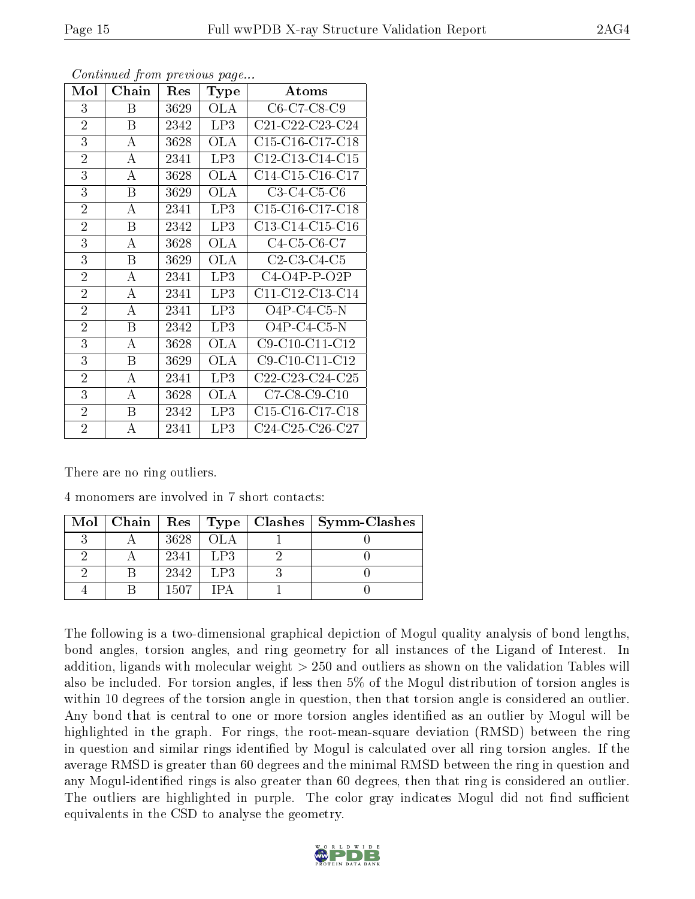| Mol            | Chain            | Res  | <b>Type</b> | Atoms                                                              |
|----------------|------------------|------|-------------|--------------------------------------------------------------------|
| 3              | Β                | 3629 | <b>OLA</b>  | C6-C7-C8-C9                                                        |
| $\overline{2}$ | $\mathbf{B}$     | 2342 | LP3         | C21-C22-C23-C24                                                    |
| 3              | А                | 3628 | OLA         | C15-C16-C17-C18                                                    |
| $\overline{2}$ | А                | 2341 | LP3         | C12-C13-C14-C15                                                    |
| 3              | A                | 3628 | <b>OLA</b>  | C14-C15-C16-C17                                                    |
| 3              | Β                | 3629 | OLA         | $C3-C4-C5-C6$                                                      |
| $\overline{2}$ | А                | 2341 | LP3         | C <sub>15</sub> -C <sub>16</sub> -C <sub>17</sub> -C <sub>18</sub> |
| $\overline{2}$ | B                | 2342 | LP3         | C13-C14-C15-C16                                                    |
| 3              | А                | 3628 | OLA         | $C4-C5-C6-C7$                                                      |
| 3              | Β                | 3629 | <b>OLA</b>  | $C2-C3-C4-C5$                                                      |
| $\overline{2}$ | А                | 2341 | LP3         | $C4-O4P-P-O2P$                                                     |
| $\overline{2}$ | А                | 2341 | LP3         | C11-C12-C13-C14                                                    |
| $\overline{2}$ | А                | 2341 | LP3         | $O4P-C4-C5-N$                                                      |
| $\overline{2}$ | $\boldsymbol{B}$ | 2342 | LP3         | $O4P-C4-C5-N$                                                      |
| 3              | А                | 3628 | <b>OLA</b>  | C9-C10-C11-C12                                                     |
| 3              | Β                | 3629 | OLA         | C9-C10-C11-C12                                                     |
| $\overline{2}$ | А                | 2341 | LP3         | C22-C23-C24-C25                                                    |
| 3              | А                | 3628 | OLA         | $C7-C8-C9-C10$                                                     |
| $\overline{2}$ | $\boldsymbol{B}$ | 2342 | LP3         | C <sub>15</sub> -C <sub>16</sub> -C <sub>17</sub> -C <sub>18</sub> |
| $\overline{2}$ | А                | 2341 | LP3         | C24-C25-C26-C27                                                    |

Continued from previous page...

There are no ring outliers.

4 monomers are involved in 7 short contacts:

| $\text{Mol}$   Chain   Res   Type |      |                 | $\mid$ Clashes $\mid$ Symm-Clashes |
|-----------------------------------|------|-----------------|------------------------------------|
|                                   | 3628 | OL A            |                                    |
|                                   | 2341 | L <sub>P3</sub> |                                    |
|                                   | 2342 | LP3             |                                    |
|                                   | 1507 |                 |                                    |

The following is a two-dimensional graphical depiction of Mogul quality analysis of bond lengths, bond angles, torsion angles, and ring geometry for all instances of the Ligand of Interest. In addition, ligands with molecular weight > 250 and outliers as shown on the validation Tables will also be included. For torsion angles, if less then 5% of the Mogul distribution of torsion angles is within 10 degrees of the torsion angle in question, then that torsion angle is considered an outlier. Any bond that is central to one or more torsion angles identified as an outlier by Mogul will be highlighted in the graph. For rings, the root-mean-square deviation (RMSD) between the ring in question and similar rings identified by Mogul is calculated over all ring torsion angles. If the average RMSD is greater than 60 degrees and the minimal RMSD between the ring in question and any Mogul-identified rings is also greater than 60 degrees, then that ring is considered an outlier. The outliers are highlighted in purple. The color gray indicates Mogul did not find sufficient equivalents in the CSD to analyse the geometry.

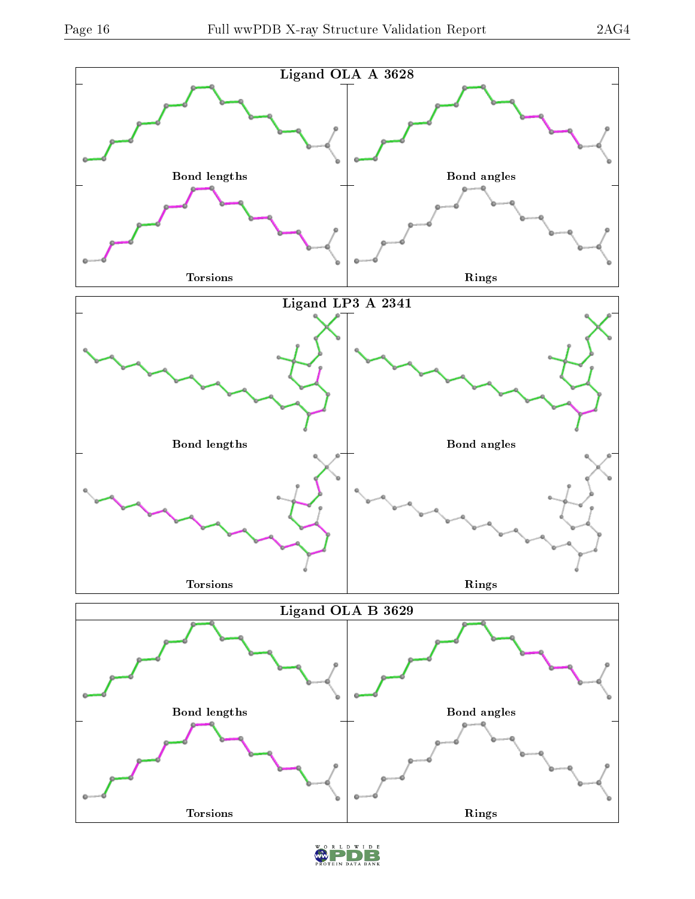

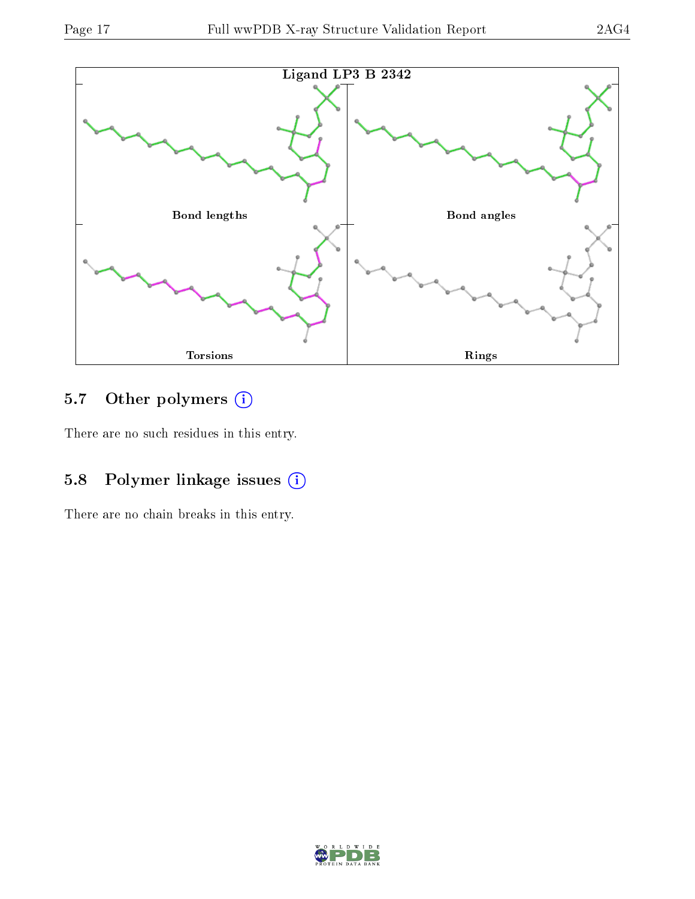

# 5.7 [O](https://www.wwpdb.org/validation/2017/XrayValidationReportHelp#nonstandard_residues_and_ligands)ther polymers (i)

There are no such residues in this entry.

# 5.8 Polymer linkage issues (i)

There are no chain breaks in this entry.

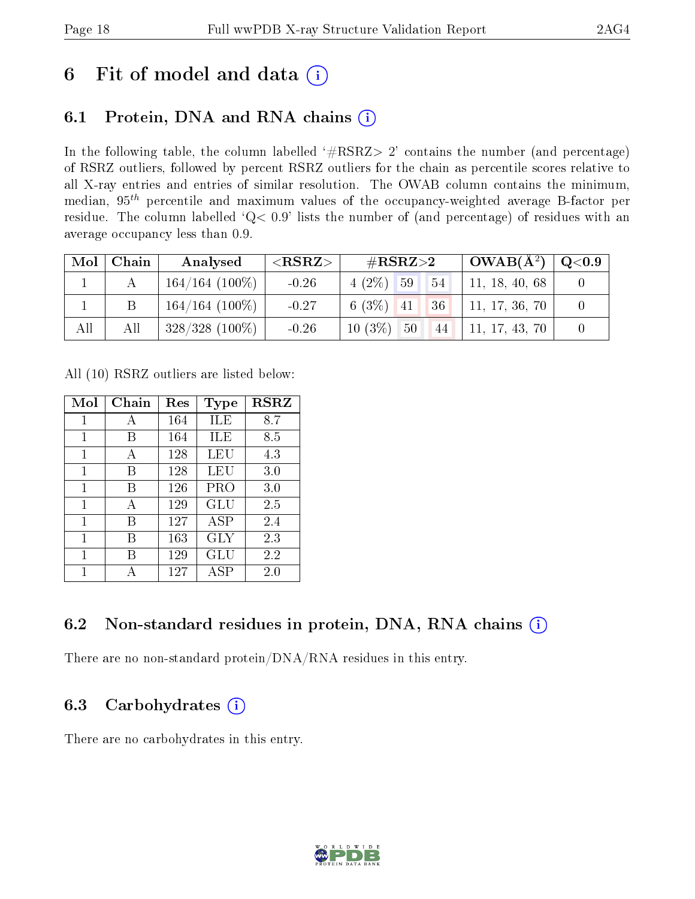# 6 Fit of model and data  $(i)$

# 6.1 Protein, DNA and RNA chains  $(i)$

In the following table, the column labelled  $#RSRZ> 2'$  contains the number (and percentage) of RSRZ outliers, followed by percent RSRZ outliers for the chain as percentile scores relative to all X-ray entries and entries of similar resolution. The OWAB column contains the minimum, median,  $95<sup>th</sup>$  percentile and maximum values of the occupancy-weighted average B-factor per residue. The column labelled ' $Q< 0.9$ ' lists the number of (and percentage) of residues with an average occupancy less than 0.9.

|     | $Mol$   Chain | Analysed          | ${ <\hspace{-1.5pt}{\mathrm{RSRZ}} \hspace{-1.5pt}>}$ | $\#\text{RSRZ}{>}2$        | $\vert$ OWAB( $A^2$ ) $\vert$ | $\mid \text{Q}<$ 0.9 |
|-----|---------------|-------------------|-------------------------------------------------------|----------------------------|-------------------------------|----------------------|
|     |               | $164/164$ (100\%) | $-0.26$                                               | $4(2\%)$ 59<br>$\sqrt{54}$ | 11, 18, 40, 68                |                      |
|     |               | $164/164$ (100\%) | $-0.27$                                               | $6(3\%)$ 41<br> 36         | 11, 17, 36, 70                |                      |
| All | All           | $328/328$ (100%)  | $-0.26$                                               | $10(3\%)$<br>50<br>44      | 11, 17, 43, 70                |                      |

All (10) RSRZ outliers are listed below:

| Mol | Chain | $\operatorname{Res}% \left( \mathcal{N}\right) \equiv\operatorname{Res}(\mathcal{N}_{0},\mathcal{N}_{0})$ | Type       | <b>RSRZ</b> |
|-----|-------|-----------------------------------------------------------------------------------------------------------|------------|-------------|
| 1   | А     | 164                                                                                                       | ILE        | 8.7         |
| 1   | В     | 164                                                                                                       | ILE        | 8.5         |
| 1   | А     | 128                                                                                                       | LEU        | 4.3         |
| 1   | В     | 128                                                                                                       | LEU        | 3.0         |
| 1   | В     | 126                                                                                                       | PRO        | 3.0         |
| 1   | A     | 129                                                                                                       | GLU        | 2.5         |
| 1   | В     | 127                                                                                                       | <b>ASP</b> | 2.4         |
| 1   | В     | 163                                                                                                       | GLY        | 2.3         |
| 1   | В     | 129                                                                                                       | GLU        | 2.2         |
| 1   |       | 127                                                                                                       | ASP        | 2.0         |

# 6.2 Non-standard residues in protein, DNA, RNA chains  $(i)$

There are no non-standard protein/DNA/RNA residues in this entry.

### 6.3 Carbohydrates  $(i)$

There are no carbohydrates in this entry.

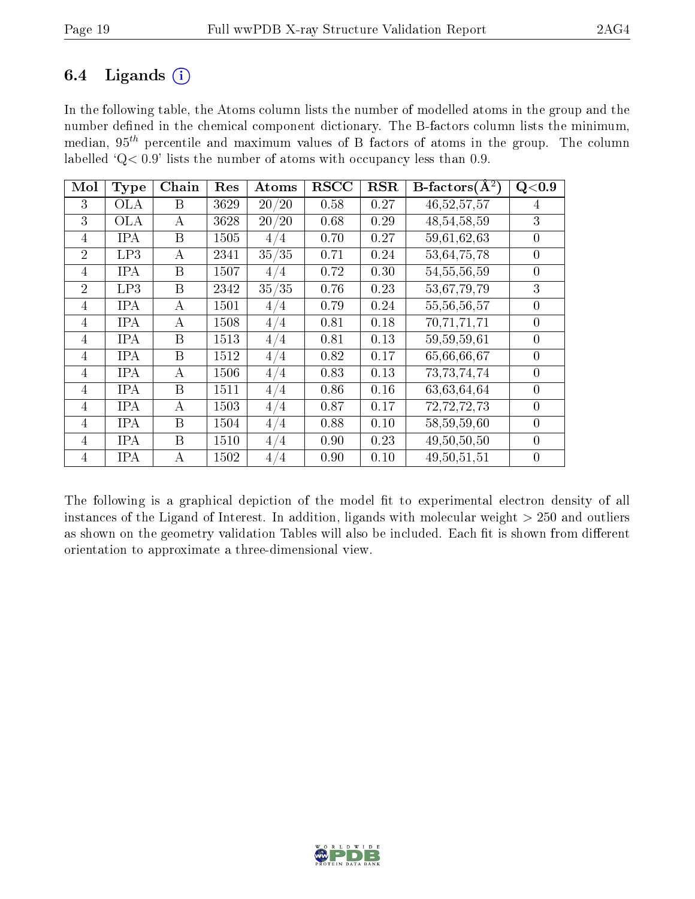### 6.4 Ligands  $(i)$

In the following table, the Atoms column lists the number of modelled atoms in the group and the number defined in the chemical component dictionary. The B-factors column lists the minimum, median,  $95<sup>th</sup>$  percentile and maximum values of B factors of atoms in the group. The column labelled ' $Q< 0.9$ ' lists the number of atoms with occupancy less than 0.9.

| Mol            | <b>Type</b> | Chain | Res  | Atoms | <b>RSCC</b> | RSR  | $B\text{-factors}(\AA^2)$ | Q<0.9          |
|----------------|-------------|-------|------|-------|-------------|------|---------------------------|----------------|
| 3              | OLA         | B     | 3629 | 20/20 | 0.58        | 0.27 | 46, 52, 57, 57            | 4              |
| 3              | <b>OLA</b>  | А     | 3628 | 20/20 | 0.68        | 0.29 | 48, 54, 58, 59            | 3              |
| 4              | <b>IPA</b>  | B     | 1505 | 4/4   | 0.70        | 0.27 | 59,61,62,63               | $\overline{0}$ |
| $\overline{2}$ | LP3         | A     | 2341 | 35/35 | 0.71        | 0.24 | $\overline{53,}64,75,78$  | $\overline{0}$ |
| $\overline{4}$ | <b>IPA</b>  | B     | 1507 | 4/4   | 0.72        | 0.30 | 54, 55, 56, 59            | $\overline{0}$ |
| $\mathcal{D}$  | LP3         | B     | 2342 | 35/35 | 0.76        | 0.23 | 53,67,79,79               | 3              |
| 4              | <b>IPA</b>  | А     | 1501 | 4/4   | 0.79        | 0.24 | 55, 56, 56, 57            | $\overline{0}$ |
| $\overline{4}$ | <b>IPA</b>  | А     | 1508 | 4/4   | 0.81        | 0.18 | 70,71,71,71               | $\overline{0}$ |
| 4              | <b>IPA</b>  | B     | 1513 | 4/4   | 0.81        | 0.13 | 59, 59, 59, 61            | $\overline{0}$ |
| 4              | <b>IPA</b>  | B     | 1512 | 4/4   | 0.82        | 0.17 | 65,66,66,67               | $\overline{0}$ |
| $\overline{4}$ | <b>IPA</b>  | A     | 1506 | 4/4   | 0.83        | 0.13 | 73, 73, 74, 74            | $\overline{0}$ |
| $\overline{4}$ | <b>IPA</b>  | B     | 1511 | 4/4   | 0.86        | 0.16 | 63,63,64,64               | $\theta$       |
| $\overline{4}$ | <b>IPA</b>  | А     | 1503 | 4/4   | 0.87        | 0.17 | 72,72,72,73               | $\overline{0}$ |
| 4              | <b>IPA</b>  | B     | 1504 | 4/4   | 0.88        | 0.10 | 58,59,59,60               | $\overline{0}$ |
| 4              | <b>IPA</b>  | B     | 1510 | 4/4   | 0.90        | 0.23 | 49, 50, 50, 50            | $\overline{0}$ |
| $\overline{4}$ | IPA         | А     | 1502 | 4/4   | 0.90        | 0.10 | 49, 50, 51, 51            | $\overline{0}$ |

The following is a graphical depiction of the model fit to experimental electron density of all instances of the Ligand of Interest. In addition, ligands with molecular weight  $> 250$  and outliers as shown on the geometry validation Tables will also be included. Each fit is shown from different orientation to approximate a three-dimensional view.

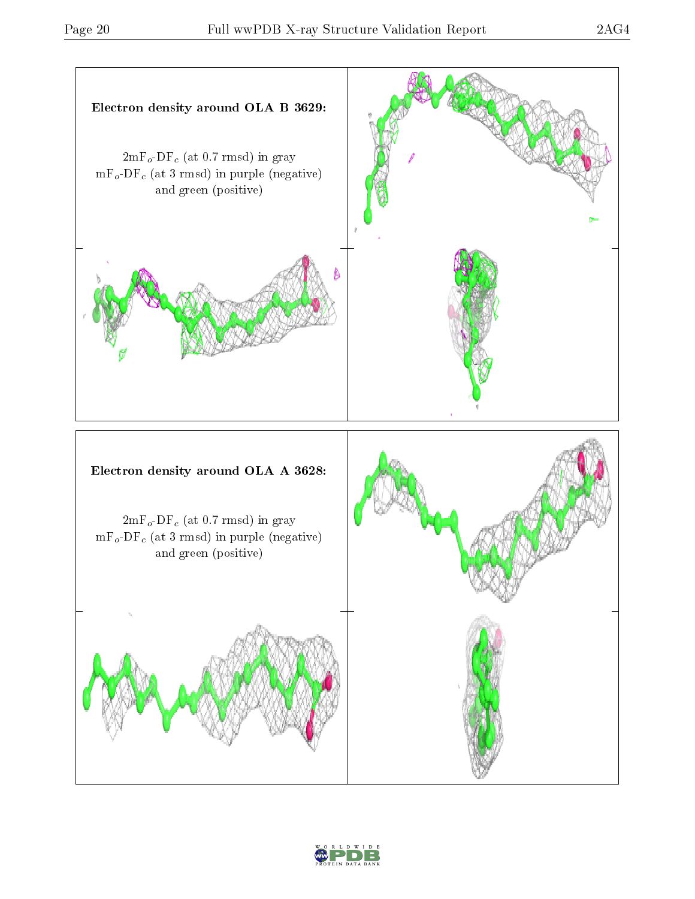

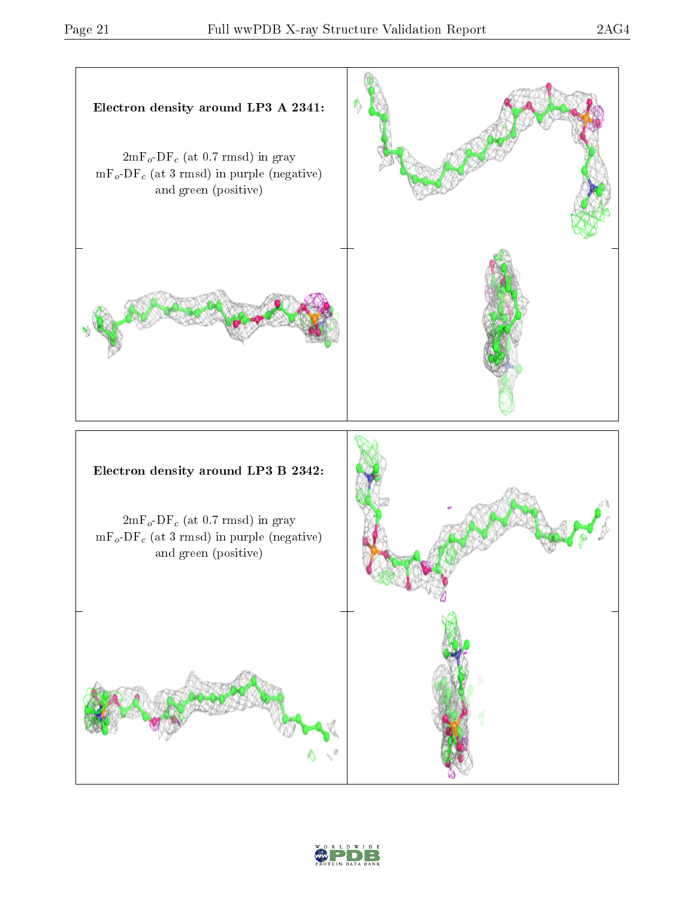